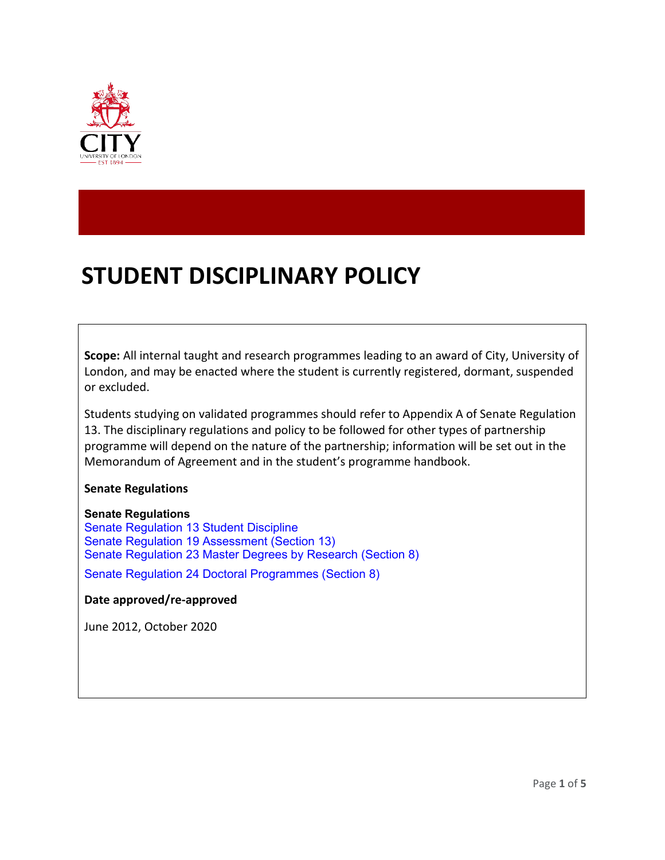

# **STUDENT DISCIPLINARY POLICY**

**Scope:** All internal taught and research programmes leading to an award of City, University of London, and may be enacted where the student is currently registered, dormant, suspended or excluded.

Students studying on validated programmes should refer to Appendix A of Senate Regulation 13. The disciplinary regulations and policy to be followed for other types of partnership programme will depend on the nature of the partnership; information will be set out in the Memorandum of Agreement and in the student's programme handbook.

**Senate Regulations**

#### **Senate Regulations**

Senate Regulation 13 Student Discipline Senate Regulation 19 Assessment (Section 13) Senate Regulation 23 Master Degrees by Research (Section 8)

Senate Regulation 24 Doctoral Programmes (Section 8)

#### **Date approved/re-approved**

June 2012, October 2020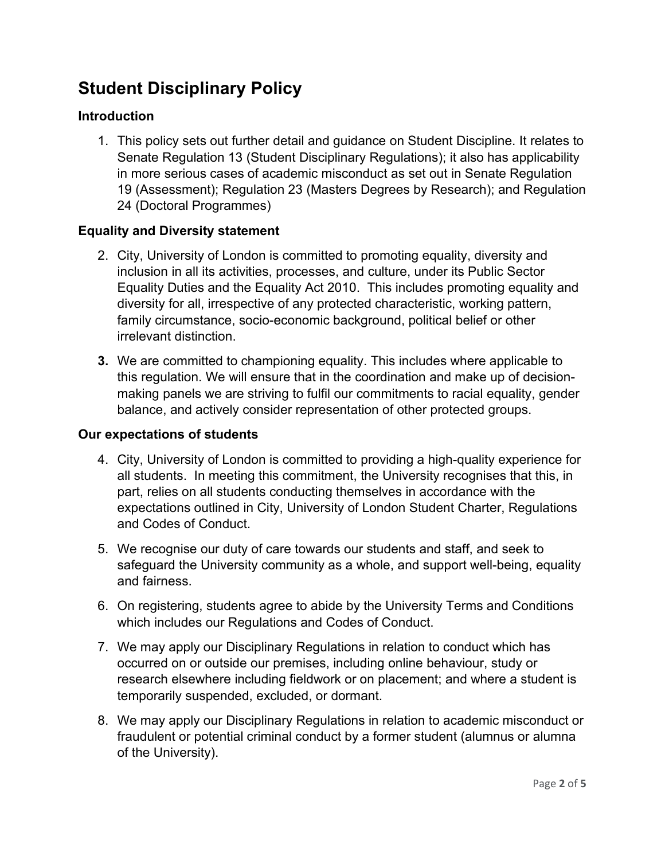# **Student Disciplinary Policy**

#### **Introduction**

1. This policy sets out further detail and guidance on Student Discipline. It relates to Senate Regulation 13 (Student Disciplinary Regulations); it also has applicability in more serious cases of academic misconduct as set out in Senate Regulation 19 (Assessment); Regulation 23 (Masters Degrees by Research); and Regulation 24 (Doctoral Programmes)

#### **Equality and Diversity statement**

- 2. City, University of London is committed to promoting equality, diversity and inclusion in all its activities, processes, and culture, under its Public Sector Equality Duties and the Equality Act 2010. This includes promoting equality and diversity for all, irrespective of any protected characteristic, working pattern, family circumstance, socio-economic background, political belief or other irrelevant distinction.
- **3.** We are committed to championing equality. This includes where applicable to this regulation. We will ensure that in the coordination and make up of decisionmaking panels we are striving to fulfil our commitments to racial equality, gender balance, and actively consider representation of other protected groups.

#### **Our expectations of students**

- 4. City, University of London is committed to providing a high-quality experience for all students. In meeting this commitment, the University recognises that this, in part, relies on all students conducting themselves in accordance with the expectations outlined in City, University of London Student Charter, Regulations and Codes of Conduct.
- 5. We recognise our duty of care towards our students and staff, and seek to safeguard the University community as a whole, and support well-being, equality and fairness.
- 6. On registering, students agree to abide by the University Terms and Conditions which includes our Regulations and Codes of Conduct.
- 7. We may apply our Disciplinary Regulations in relation to conduct which has occurred on or outside our premises, including online behaviour, study or research elsewhere including fieldwork or on placement; and where a student is temporarily suspended, excluded, or dormant.
- 8. We may apply our Disciplinary Regulations in relation to academic misconduct or fraudulent or potential criminal conduct by a former student (alumnus or alumna of the University).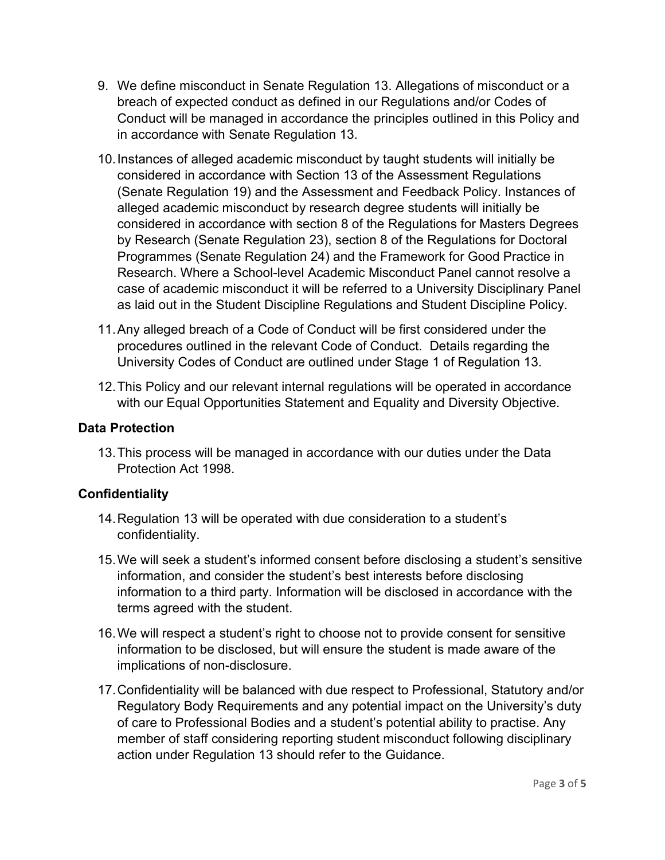- 9. We define misconduct in Senate Regulation 13. Allegations of misconduct or a breach of expected conduct as defined in our Regulations and/or Codes of Conduct will be managed in accordance the principles outlined in this Policy and in accordance with Senate Regulation 13.
- 10.Instances of alleged academic misconduct by taught students will initially be considered in accordance with Section 13 of the Assessment Regulations (Senate Regulation 19) and the Assessment and Feedback Policy. Instances of alleged academic misconduct by research degree students will initially be considered in accordance with section 8 of the Regulations for Masters Degrees by Research (Senate Regulation 23), section 8 of the Regulations for Doctoral Programmes (Senate Regulation 24) and the Framework for Good Practice in Research. Where a School-level Academic Misconduct Panel cannot resolve a case of academic misconduct it will be referred to a University Disciplinary Panel as laid out in the Student Discipline Regulations and Student Discipline Policy.
- 11.Any alleged breach of a Code of Conduct will be first considered under the procedures outlined in the relevant Code of Conduct. Details regarding the University Codes of Conduct are outlined under Stage 1 of Regulation 13.
- 12.This Policy and our relevant internal regulations will be operated in accordance with our Equal Opportunities Statement and Equality and Diversity Objective.

#### **Data Protection**

13.This process will be managed in accordance with our duties under the Data Protection Act 1998.

## **Confidentiality**

- 14.Regulation 13 will be operated with due consideration to a student's confidentiality.
- 15.We will seek a student's informed consent before disclosing a student's sensitive information, and consider the student's best interests before disclosing information to a third party. Information will be disclosed in accordance with the terms agreed with the student.
- 16.We will respect a student's right to choose not to provide consent for sensitive information to be disclosed, but will ensure the student is made aware of the implications of non-disclosure.
- 17.Confidentiality will be balanced with due respect to Professional, Statutory and/or Regulatory Body Requirements and any potential impact on the University's duty of care to Professional Bodies and a student's potential ability to practise. Any member of staff considering reporting student misconduct following disciplinary action under Regulation 13 should refer to the Guidance.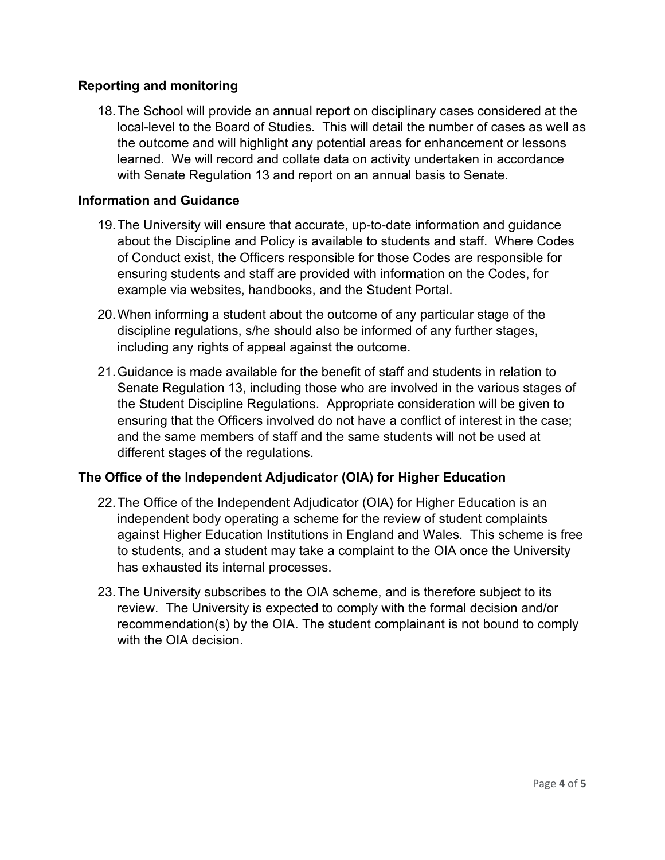#### **Reporting and monitoring**

18.The School will provide an annual report on disciplinary cases considered at the local-level to the Board of Studies. This will detail the number of cases as well as the outcome and will highlight any potential areas for enhancement or lessons learned. We will record and collate data on activity undertaken in accordance with Senate Regulation 13 and report on an annual basis to Senate.

#### **Information and Guidance**

- 19.The University will ensure that accurate, up-to-date information and guidance about the Discipline and Policy is available to students and staff. Where Codes of Conduct exist, the Officers responsible for those Codes are responsible for ensuring students and staff are provided with information on the Codes, for example via websites, handbooks, and the Student Portal.
- 20.When informing a student about the outcome of any particular stage of the discipline regulations, s/he should also be informed of any further stages, including any rights of appeal against the outcome.
- 21.Guidance is made available for the benefit of staff and students in relation to Senate Regulation 13, including those who are involved in the various stages of the Student Discipline Regulations. Appropriate consideration will be given to ensuring that the Officers involved do not have a conflict of interest in the case; and the same members of staff and the same students will not be used at different stages of the regulations.

## **The Office of the Independent Adjudicator (OIA) for Higher Education**

- 22.The Office of the Independent Adjudicator (OIA) for Higher Education is an independent body operating a scheme for the review of student complaints against Higher Education Institutions in England and Wales. This scheme is free to students, and a student may take a complaint to the OIA once the University has exhausted its internal processes.
- 23.The University subscribes to the OIA scheme, and is therefore subject to its review. The University is expected to comply with the formal decision and/or recommendation(s) by the OIA. The student complainant is not bound to comply with the OIA decision.